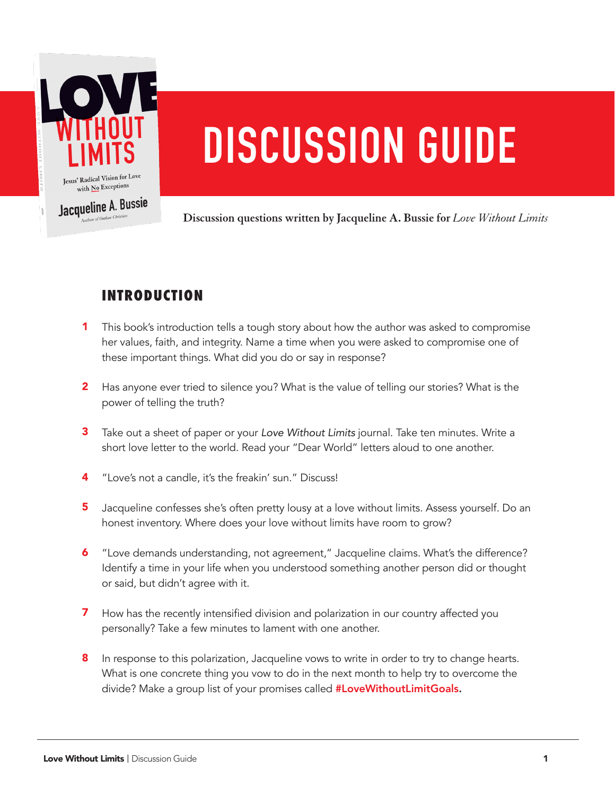

# **DISCUSSION GUIDE**

**Discussion questions written by Jacqueline A. Bussie for** *Love Without Limits*

# **INTRODUCTION**

- This book's introduction tells a tough story about how the author was asked to compromise her values, faith, and integrity. Name a time when you were asked to compromise one of these important things. What did you do or say in response? 1
- **2** Has anyone ever tried to silence you? What is the value of telling our stories? What is the power of telling the truth?
- Take out a sheet of paper or your *Love Without Limits* journal. Take ten minutes. Write a 3 short love letter to the world. Read your "Dear World" letters aloud to one another.
- "Love's not a candle, it's the freakin' sun." Discuss! 4
- Jacqueline confesses she's often pretty lousy at a love without limits. Assess yourself. Do an honest inventory. Where does your love without limits have room to grow? 5
- "Love demands understanding, not agreement," Jacqueline claims. What's the difference? Identify a time in your life when you understood something another person did or thought or said, but didn't agree with it. 6
- How has the recently intensified division and polarization in our country affected you personally? Take a few minutes to lament with one another. 7
- **8** In response to this polarization, Jacqueline vows to write in order to try to change hearts. What is one concrete thing you vow to do in the next month to help try to overcome the divide? Make a group list of your promises called #LoveWithoutLimitGoals.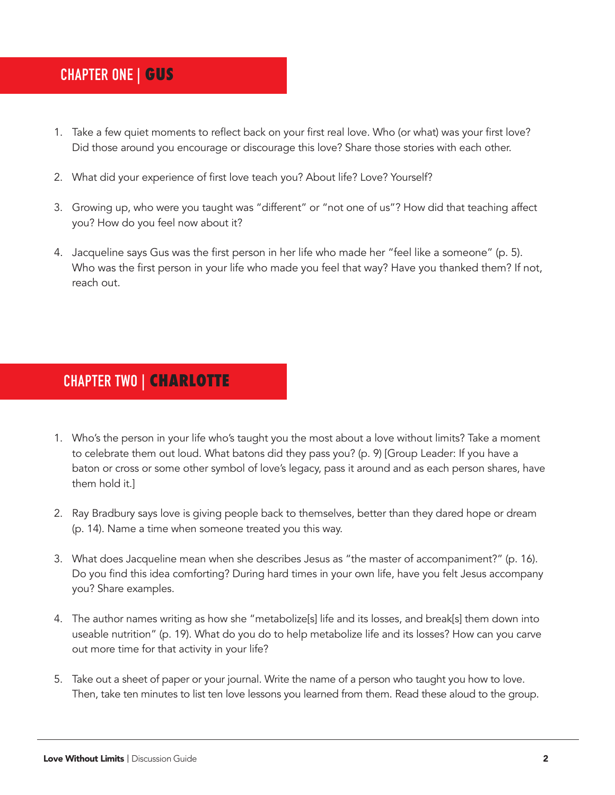# **CHAPTER ONE | GUS**

- 1. Take a few quiet moments to reflect back on your first real love. Who (or what) was your first love? Did those around you encourage or discourage this love? Share those stories with each other.
- 2. What did your experience of first love teach you? About life? Love? Yourself?
- 3. Growing up, who were you taught was "different" or "not one of us"? How did that teaching affect you? How do you feel now about it?
- 4. Jacqueline says Gus was the first person in her life who made her "feel like a someone" (p. 5). Who was the first person in your life who made you feel that way? Have you thanked them? If not, reach out.

#### **CHAPTER TWO | CHARLOTTE**

- 1. Who's the person in your life who's taught you the most about a love without limits? Take a moment to celebrate them out loud. What batons did they pass you? (p. 9) [Group Leader: If you have a baton or cross or some other symbol of love's legacy, pass it around and as each person shares, have them hold it.]
- 2. Ray Bradbury says love is giving people back to themselves, better than they dared hope or dream (p. 14). Name a time when someone treated you this way.
- 3. What does Jacqueline mean when she describes Jesus as "the master of accompaniment?" (p. 16). Do you find this idea comforting? During hard times in your own life, have you felt Jesus accompany you? Share examples.
- 4. The author names writing as how she "metabolize[s] life and its losses, and break[s] them down into useable nutrition" (p. 19). What do you do to help metabolize life and its losses? How can you carve out more time for that activity in your life?
- 5. Take out a sheet of paper or your journal. Write the name of a person who taught you how to love. Then, take ten minutes to list ten love lessons you learned from them. Read these aloud to the group.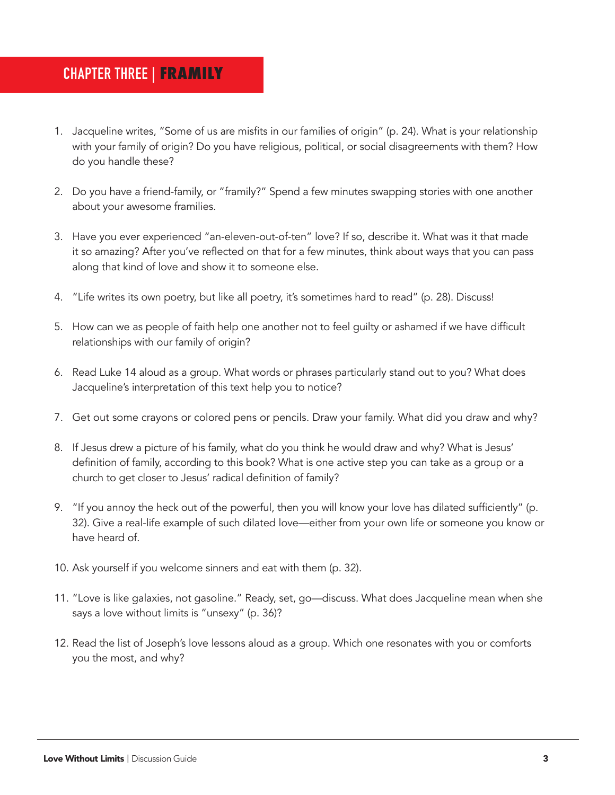#### **CHAPTER THREE | FRAMILY**

- 1. Jacqueline writes, "Some of us are misfits in our families of origin" (p. 24). What is your relationship with your family of origin? Do you have religious, political, or social disagreements with them? How do you handle these?
- 2. Do you have a friend-family, or "framily?" Spend a few minutes swapping stories with one another about your awesome framilies.
- 3. Have you ever experienced "an-eleven-out-of-ten" love? If so, describe it. What was it that made it so amazing? After you've reflected on that for a few minutes, think about ways that you can pass along that kind of love and show it to someone else.
- 4. "Life writes its own poetry, but like all poetry, it's sometimes hard to read" (p. 28). Discuss!
- 5. How can we as people of faith help one another not to feel guilty or ashamed if we have difficult relationships with our family of origin?
- 6. Read Luke 14 aloud as a group. What words or phrases particularly stand out to you? What does Jacqueline's interpretation of this text help you to notice?
- 7. Get out some crayons or colored pens or pencils. Draw your family. What did you draw and why?
- 8. If Jesus drew a picture of his family, what do you think he would draw and why? What is Jesus' definition of family, according to this book? What is one active step you can take as a group or a church to get closer to Jesus' radical definition of family?
- 9. "If you annoy the heck out of the powerful, then you will know your love has dilated sufficiently" (p. 32). Give a real-life example of such dilated love—either from your own life or someone you know or have heard of.
- 10. Ask yourself if you welcome sinners and eat with them (p. 32).
- 11. "Love is like galaxies, not gasoline." Ready, set, go—discuss. What does Jacqueline mean when she says a love without limits is "unsexy" (p. 36)?
- 12. Read the list of Joseph's love lessons aloud as a group. Which one resonates with you or comforts you the most, and why?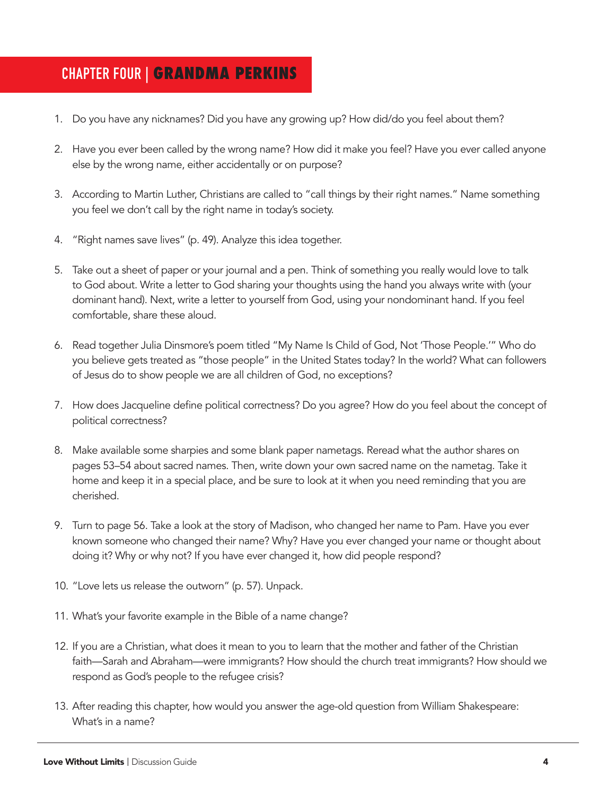## **CHAPTER FOUR | GRANDMA PERKINS**

- 1. Do you have any nicknames? Did you have any growing up? How did/do you feel about them?
- 2. Have you ever been called by the wrong name? How did it make you feel? Have you ever called anyone else by the wrong name, either accidentally or on purpose?
- 3. According to Martin Luther, Christians are called to "call things by their right names." Name something you feel we don't call by the right name in today's society.
- 4. "Right names save lives" (p. 49). Analyze this idea together.
- 5. Take out a sheet of paper or your journal and a pen. Think of something you really would love to talk to God about. Write a letter to God sharing your thoughts using the hand you always write with (your dominant hand). Next, write a letter to yourself from God, using your nondominant hand. If you feel comfortable, share these aloud.
- 6. Read together Julia Dinsmore's poem titled "My Name Is Child of God, Not 'Those People.'" Who do you believe gets treated as "those people" in the United States today? In the world? What can followers of Jesus do to show people we are all children of God, no exceptions?
- 7. How does Jacqueline define political correctness? Do you agree? How do you feel about the concept of political correctness?
- 8. Make available some sharpies and some blank paper nametags. Reread what the author shares on pages 53–54 about sacred names. Then, write down your own sacred name on the nametag. Take it home and keep it in a special place, and be sure to look at it when you need reminding that you are cherished.
- 9. Turn to page 56. Take a look at the story of Madison, who changed her name to Pam. Have you ever known someone who changed their name? Why? Have you ever changed your name or thought about doing it? Why or why not? If you have ever changed it, how did people respond?
- 10. "Love lets us release the outworn" (p. 57). Unpack.
- 11. What's your favorite example in the Bible of a name change?
- 12. If you are a Christian, what does it mean to you to learn that the mother and father of the Christian faith—Sarah and Abraham—were immigrants? How should the church treat immigrants? How should we respond as God's people to the refugee crisis?
- 13. After reading this chapter, how would you answer the age-old question from William Shakespeare: What's in a name?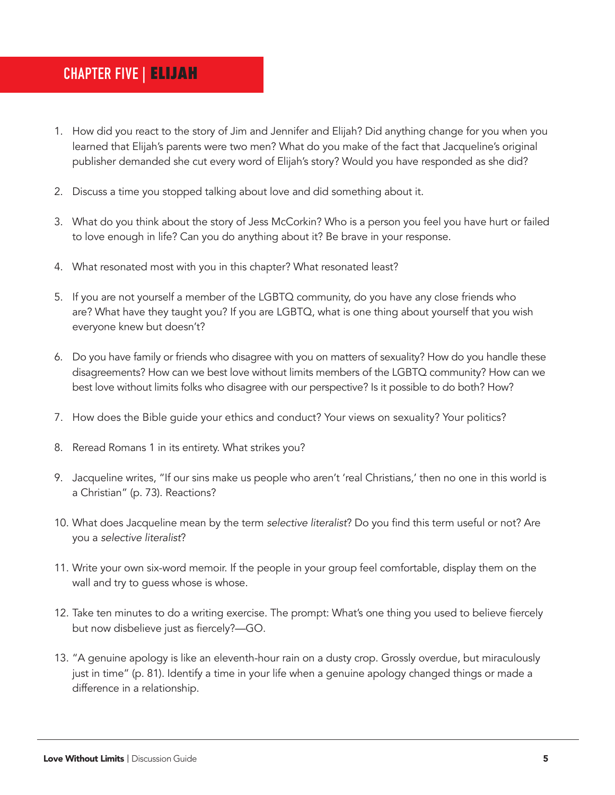## **CHAPTER FIVE | ELIJAH**

- 1. How did you react to the story of Jim and Jennifer and Elijah? Did anything change for you when you learned that Elijah's parents were two men? What do you make of the fact that Jacqueline's original publisher demanded she cut every word of Elijah's story? Would you have responded as she did?
- 2. Discuss a time you stopped talking about love and did something about it.
- 3. What do you think about the story of Jess McCorkin? Who is a person you feel you have hurt or failed to love enough in life? Can you do anything about it? Be brave in your response.
- 4. What resonated most with you in this chapter? What resonated least?
- 5. If you are not yourself a member of the LGBTQ community, do you have any close friends who are? What have they taught you? If you are LGBTQ, what is one thing about yourself that you wish everyone knew but doesn't?
- 6. Do you have family or friends who disagree with you on matters of sexuality? How do you handle these disagreements? How can we best love without limits members of the LGBTQ community? How can we best love without limits folks who disagree with our perspective? Is it possible to do both? How?
- 7. How does the Bible guide your ethics and conduct? Your views on sexuality? Your politics?
- 8. Reread Romans 1 in its entirety. What strikes you?
- 9. Jacqueline writes, "If our sins make us people who aren't 'real Christians,' then no one in this world is a Christian" (p. 73). Reactions?
- 10. What does Jacqueline mean by the term *selective literalist*? Do you find this term useful or not? Are you a *selective literalist*?
- 11. Write your own six-word memoir. If the people in your group feel comfortable, display them on the wall and try to guess whose is whose.
- 12. Take ten minutes to do a writing exercise. The prompt: What's one thing you used to believe fiercely but now disbelieve just as fiercely?—GO.
- 13. "A genuine apology is like an eleventh-hour rain on a dusty crop. Grossly overdue, but miraculously just in time" (p. 81). Identify a time in your life when a genuine apology changed things or made a difference in a relationship.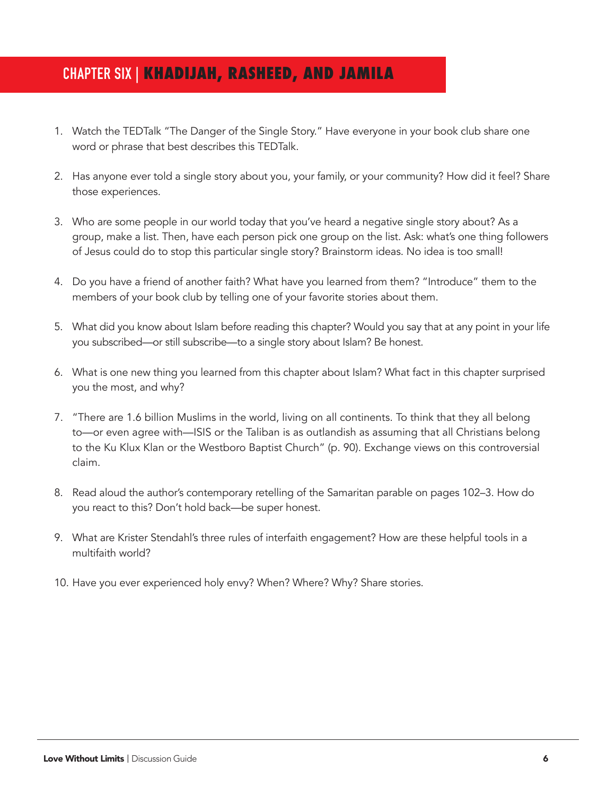# **CHAPTER SIX | KHADIJAH, RASHEED, AND JAMILA**

- 1. Watch the TEDTalk "The Danger of the Single Story." Have everyone in your book club share one word or phrase that best describes this TEDTalk.
- 2. Has anyone ever told a single story about you, your family, or your community? How did it feel? Share those experiences.
- 3. Who are some people in our world today that you've heard a negative single story about? As a group, make a list. Then, have each person pick one group on the list. Ask: what's one thing followers of Jesus could do to stop this particular single story? Brainstorm ideas. No idea is too small!
- 4. Do you have a friend of another faith? What have you learned from them? "Introduce" them to the members of your book club by telling one of your favorite stories about them.
- 5. What did you know about Islam before reading this chapter? Would you say that at any point in your life you subscribed—or still subscribe—to a single story about Islam? Be honest.
- 6. What is one new thing you learned from this chapter about Islam? What fact in this chapter surprised you the most, and why?
- 7. "There are 1.6 billion Muslims in the world, living on all continents. To think that they all belong to—or even agree with—ISIS or the Taliban is as outlandish as assuming that all Christians belong to the Ku Klux Klan or the Westboro Baptist Church" (p. 90). Exchange views on this controversial claim.
- 8. Read aloud the author's contemporary retelling of the Samaritan parable on pages 102–3. How do you react to this? Don't hold back—be super honest.
- 9. What are Krister Stendahl's three rules of interfaith engagement? How are these helpful tools in a multifaith world?
- 10. Have you ever experienced holy envy? When? Where? Why? Share stories.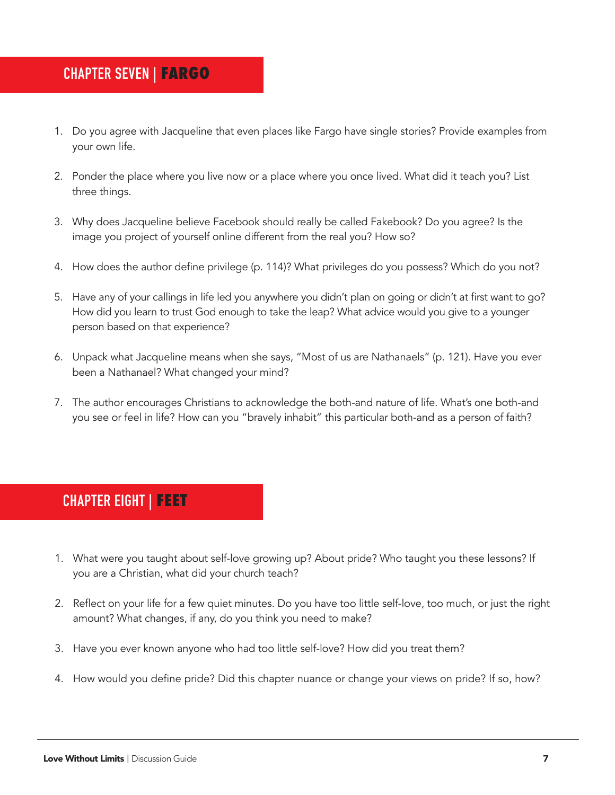### **CHAPTER SEVEN | FARGO**

- 1. Do you agree with Jacqueline that even places like Fargo have single stories? Provide examples from your own life.
- 2. Ponder the place where you live now or a place where you once lived. What did it teach you? List three things.
- 3. Why does Jacqueline believe Facebook should really be called Fakebook? Do you agree? Is the image you project of yourself online different from the real you? How so?
- 4. How does the author define privilege (p. 114)? What privileges do you possess? Which do you not?
- 5. Have any of your callings in life led you anywhere you didn't plan on going or didn't at first want to go? How did you learn to trust God enough to take the leap? What advice would you give to a younger person based on that experience?
- 6. Unpack what Jacqueline means when she says, "Most of us are Nathanaels" (p. 121). Have you ever been a Nathanael? What changed your mind?
- 7. The author encourages Christians to acknowledge the both-and nature of life. What's one both-and you see or feel in life? How can you "bravely inhabit" this particular both-and as a person of faith?

# **CHAPTER EIGHT | FEET**

- 1. What were you taught about self-love growing up? About pride? Who taught you these lessons? If you are a Christian, what did your church teach?
- 2. Reflect on your life for a few quiet minutes. Do you have too little self-love, too much, or just the right amount? What changes, if any, do you think you need to make?
- 3. Have you ever known anyone who had too little self-love? How did you treat them?
- 4. How would you define pride? Did this chapter nuance or change your views on pride? If so, how?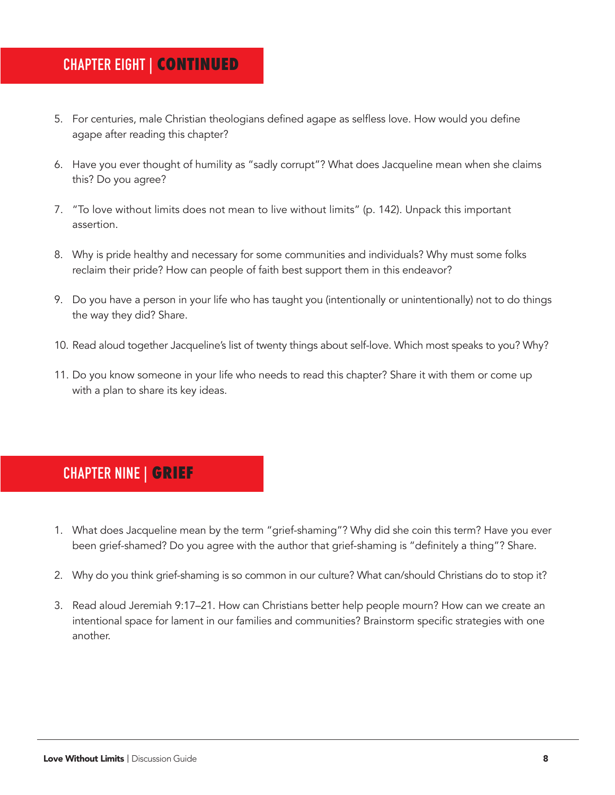#### **CHAPTER EIGHT | CONTINUED**

- 5. For centuries, male Christian theologians defined agape as selfless love. How would you define agape after reading this chapter?
- 6. Have you ever thought of humility as "sadly corrupt"? What does Jacqueline mean when she claims this? Do you agree?
- 7. "To love without limits does not mean to live without limits" (p. 142). Unpack this important assertion.
- 8. Why is pride healthy and necessary for some communities and individuals? Why must some folks reclaim their pride? How can people of faith best support them in this endeavor?
- 9. Do you have a person in your life who has taught you (intentionally or unintentionally) not to do things the way they did? Share.
- 10. Read aloud together Jacqueline's list of twenty things about self-love. Which most speaks to you? Why?
- 11. Do you know someone in your life who needs to read this chapter? Share it with them or come up with a plan to share its key ideas.

# **CHAPTER NINE | GRIEF**

- 1. What does Jacqueline mean by the term "grief-shaming"? Why did she coin this term? Have you ever been grief-shamed? Do you agree with the author that grief-shaming is "definitely a thing"? Share.
- 2. Why do you think grief-shaming is so common in our culture? What can/should Christians do to stop it?
- 3. Read aloud Jeremiah 9:17–21. How can Christians better help people mourn? How can we create an intentional space for lament in our families and communities? Brainstorm specific strategies with one another.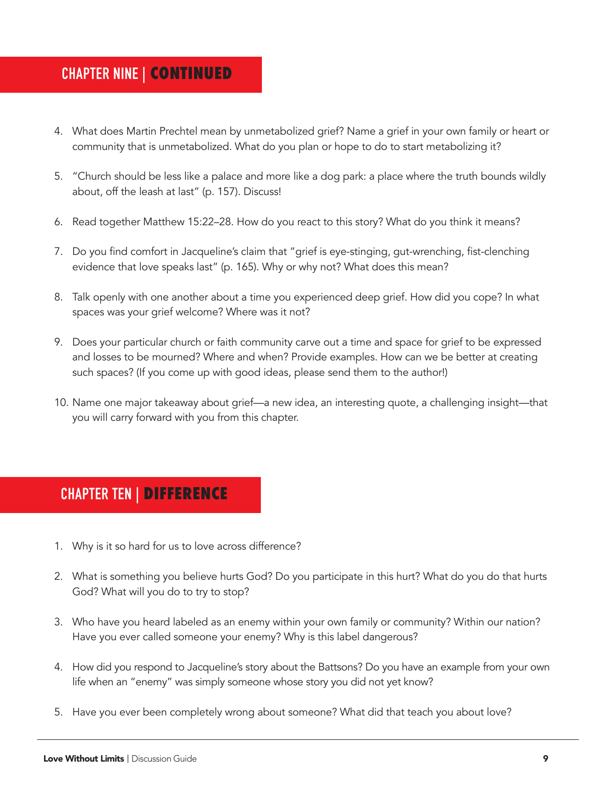#### **CHAPTER NINE | CONTINUED**

- 4. What does Martin Prechtel mean by unmetabolized grief? Name a grief in your own family or heart or community that is unmetabolized. What do you plan or hope to do to start metabolizing it?
- 5. "Church should be less like a palace and more like a dog park: a place where the truth bounds wildly about, off the leash at last" (p. 157). Discuss!
- 6. Read together Matthew 15:22–28. How do you react to this story? What do you think it means?
- 7. Do you find comfort in Jacqueline's claim that "grief is eye-stinging, gut-wrenching, fist-clenching evidence that love speaks last" (p. 165). Why or why not? What does this mean?
- 8. Talk openly with one another about a time you experienced deep grief. How did you cope? In what spaces was your grief welcome? Where was it not?
- 9. Does your particular church or faith community carve out a time and space for grief to be expressed and losses to be mourned? Where and when? Provide examples. How can we be better at creating such spaces? (If you come up with good ideas, please send them to the author!)
- 10. Name one major takeaway about grief—a new idea, an interesting quote, a challenging insight—that you will carry forward with you from this chapter.

#### **CHAPTER TEN | DIFFERENCE**

- 1. Why is it so hard for us to love across difference?
- 2. What is something you believe hurts God? Do you participate in this hurt? What do you do that hurts God? What will you do to try to stop?
- 3. Who have you heard labeled as an enemy within your own family or community? Within our nation? Have you ever called someone your enemy? Why is this label dangerous?
- 4. How did you respond to Jacqueline's story about the Battsons? Do you have an example from your own life when an "enemy" was simply someone whose story you did not yet know?
- 5. Have you ever been completely wrong about someone? What did that teach you about love?